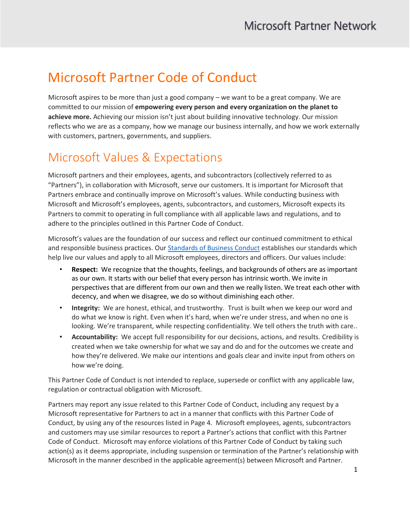# Microsoft Partner Code of Conduct

Microsoft aspires to be more than just a good company – we want to be a great company. We are committed to our mission of **empowering every person and every organization on the planet to achieve more.** Achieving our mission isn't just about building innovative technology. Our mission reflects who we are as a company, how we manage our business internally, and how we work externally with customers, partners, governments, and suppliers.

## Microsoft Values & Expectations

Microsoft partners and their employees, agents, and subcontractors (collectively referred to as "Partners"), in collaboration with Microsoft, serve our customers. It is important for Microsoft that Partners embrace and continually improve on Microsoft's values. While conducting business with Microsoft and Microsoft's employees, agents, subcontractors, and customers, Microsoft expects its Partners to commit to operating in full compliance with all applicable laws and regulations, and to adhere to the principles outlined in this Partner Code of Conduct.

Microsoft's values are the foundation of our success and reflect our continued commitment to ethical and responsible business practices. Ou[r Standards of Business Conduct](https://www.microsoft.com/en-us/legal/Compliance/Buscond/Default.aspx) establishes our standards which help live our values and apply to all Microsoft employees, directors and officers. Our values include:

- **Respect:** We recognize that the thoughts, feelings, and backgrounds of others are as important as our own. It starts with our belief that every person has intrinsic worth. We invite in perspectives that are different from our own and then we really listen. We treat each other with decency, and when we disagree, we do so without diminishing each other.
- **Integrity:** We are honest, ethical, and trustworthy. Trust is built when we keep our word and do what we know is right. Even when it's hard, when we're under stress, and when no one is looking. We're transparent, while respecting confidentiality. We tell others the truth with care..
- **Accountability:** We accept full responsibility for our decisions, actions, and results. Credibility is created when we take ownership for what we say and do and for the outcomes we create and how they're delivered. We make our intentions and goals clear and invite input from others on how we're doing.

This Partner Code of Conduct is not intended to replace, supersede or conflict with any applicable law, regulation or contractual obligation with Microsoft.

Partners may report any issue related to this Partner Code of Conduct, including any request by a Microsoft representative for Partners to act in a manner that conflicts with this Partner Code of Conduct, by using any of the resources listed in Page 4. Microsoft employees, agents, subcontractors and customers may use similar resources to report a Partner's actions that conflict with this Partner Code of Conduct. Microsoft may enforce violations of this Partner Code of Conduct by taking such action(s) as it deems appropriate, including suspension or termination of the Partner's relationship with Microsoft in the manner described in the applicable agreement(s) between Microsoft and Partner.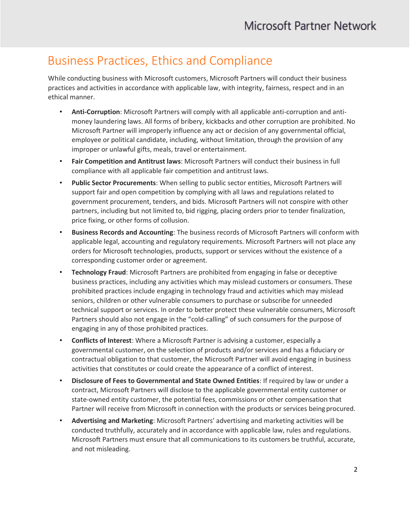### Business Practices, Ethics and Compliance

While conducting business with Microsoft customers, Microsoft Partners will conduct their business practices and activities in accordance with applicable law, with integrity, fairness, respect and in an ethical manner.

- **Anti-Corruption**: Microsoft Partners will comply with all applicable anti-corruption and antimoney laundering laws. All forms of bribery, kickbacks and other corruption are prohibited. No Microsoft Partner will improperly influence any act or decision of any governmental official, employee or political candidate, including, without limitation, through the provision of any improper or unlawful gifts, meals, travel or entertainment.
- **Fair Competition and Antitrust laws**: Microsoft Partners will conduct their business in full compliance with all applicable fair competition and antitrust laws.
- **Public Sector Procurements**: When selling to public sector entities, Microsoft Partners will support fair and open competition by complying with all laws and regulations related to government procurement, tenders, and bids. Microsoft Partners will not conspire with other partners, including but not limited to, bid rigging, placing orders prior to tender finalization, price fixing, or other forms of collusion.
- **Business Records and Accounting**: The business records of Microsoft Partners will conform with applicable legal, accounting and regulatory requirements. Microsoft Partners will not place any orders for Microsoft technologies, products, support or services without the existence of a corresponding customer order or agreement.
- **Technology Fraud**: Microsoft Partners are prohibited from engaging in false or deceptive business practices, including any activities which may mislead customers or consumers. These prohibited practices include engaging in technology fraud and activities which may mislead seniors, children or other vulnerable consumers to purchase or subscribe for unneeded technical support or services. In order to better protect these vulnerable consumers, Microsoft Partners should also not engage in the "cold-calling" of such consumers for the purpose of engaging in any of those prohibited practices.
- **Conflicts of Interest**: Where a Microsoft Partner is advising a customer, especially a governmental customer, on the selection of products and/or services and has a fiduciary or contractual obligation to that customer, the Microsoft Partner will avoid engaging in business activities that constitutes or could create the appearance of a conflict of interest.
- **Disclosure of Fees to Governmental and State Owned Entities**: If required by law or under a contract, Microsoft Partners will disclose to the applicable governmental entity customer or state-owned entity customer, the potential fees, commissions or other compensation that Partner will receive from Microsoft in connection with the products or services beingprocured.
- **Advertising and Marketing**: Microsoft Partners' advertising and marketing activities will be conducted truthfully, accurately and in accordance with applicable law, rules and regulations. Microsoft Partners must ensure that all communications to its customers be truthful, accurate, and not misleading.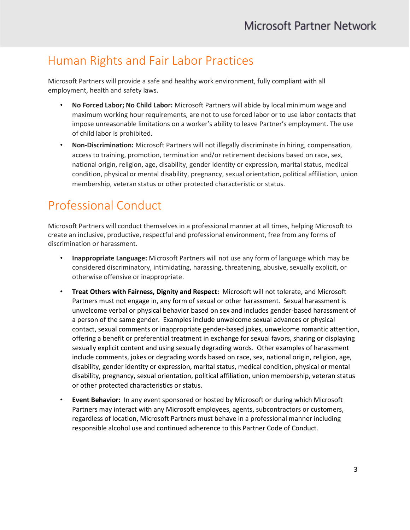### Human Rights and Fair Labor Practices

Microsoft Partners will provide a safe and healthy work environment, fully compliant with all employment, health and safety laws.

- **No Forced Labor; No Child Labor:** Microsoft Partners will abide by local minimum wage and maximum working hour requirements, are not to use forced labor or to use labor contacts that impose unreasonable limitations on a worker's ability to leave Partner's employment. The use of child labor is prohibited.
- **Non-Discrimination:** Microsoft Partners will not illegally discriminate in hiring, compensation, access to training, promotion, termination and/or retirement decisions based on race, sex, national origin, religion, age, disability, gender identity or expression, marital status, medical condition, physical or mental disability, pregnancy, sexual orientation, political affiliation, union membership, veteran status or other protected characteristic or status.

# Professional Conduct

Microsoft Partners will conduct themselves in a professional manner at all times, helping Microsoft to create an inclusive, productive, respectful and professional environment, free from any forms of discrimination or harassment.

- **Inappropriate Language:** Microsoft Partners will not use any form of language which may be considered discriminatory, intimidating, harassing, threatening, abusive, sexually explicit, or otherwise offensive or inappropriate.
- **Treat Others with Fairness, Dignity and Respect:** Microsoft will not tolerate, and Microsoft Partners must not engage in, any form of sexual or other harassment. Sexual harassment is unwelcome verbal or physical behavior based on sex and includes gender-based harassment of a person of the same gender. Examples include unwelcome sexual advances or physical contact, sexual comments or inappropriate gender-based jokes, unwelcome romantic attention, offering a benefit or preferential treatment in exchange for sexual favors, sharing or displaying sexually explicit content and using sexually degrading words. Other examples of harassment include comments, jokes or degrading words based on race, sex, national origin, religion, age, disability, gender identity or expression, marital status, medical condition, physical or mental disability, pregnancy, sexual orientation, political affiliation, union membership, veteran status or other protected characteristics or status.
- **Event Behavior:** In any event sponsored or hosted by Microsoft or during which Microsoft Partners may interact with any Microsoft employees, agents, subcontractors or customers, regardless of location, Microsoft Partners must behave in a professional manner including responsible alcohol use and continued adherence to this Partner Code of Conduct.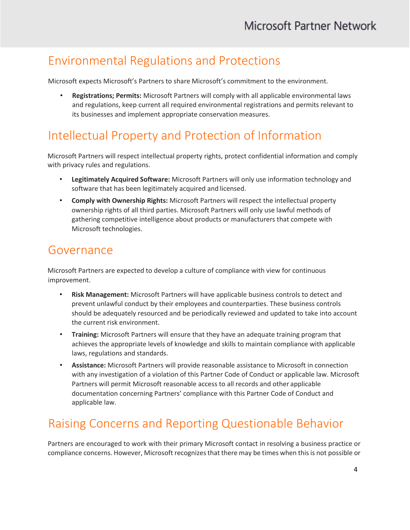### Environmental Regulations and Protections

Microsoft expects Microsoft's Partners to share Microsoft's commitment to the environment.

• **Registrations; Permits:** Microsoft Partners will comply with all applicable environmental laws and regulations, keep current all required environmental registrations and permits relevant to its businesses and implement appropriate conservation measures.

## Intellectual Property and Protection of Information

Microsoft Partners will respect intellectual property rights, protect confidential information and comply with privacy rules and regulations.

- **Legitimately Acquired Software:** Microsoft Partners will only use information technology and software that has been legitimately acquired and licensed.
- **Comply with Ownership Rights:** Microsoft Partners will respect the intellectual property ownership rights of all third parties. Microsoft Partners will only use lawful methods of gathering competitive intelligence about products or manufacturers that compete with Microsoft technologies.

#### Governance

Microsoft Partners are expected to develop a culture of compliance with view for continuous improvement.

- **Risk Management:** Microsoft Partners will have applicable business controls to detect and prevent unlawful conduct by their employees and counterparties. These business controls should be adequately resourced and be periodically reviewed and updated to take into account the current risk environment.
- **Training:** Microsoft Partners will ensure that they have an adequate training program that achieves the appropriate levels of knowledge and skills to maintain compliance with applicable laws, regulations and standards.
- **Assistance:** Microsoft Partners will provide reasonable assistance to Microsoft in connection with any investigation of a violation of this Partner Code of Conduct or applicable law. Microsoft Partners will permit Microsoft reasonable access to all records and other applicable documentation concerning Partners' compliance with this Partner Code of Conduct and applicable law.

## Raising Concerns and Reporting Questionable Behavior

Partners are encouraged to work with their primary Microsoft contact in resolving a business practice or compliance concerns. However, Microsoft recognizes that there may be times when this is not possible or